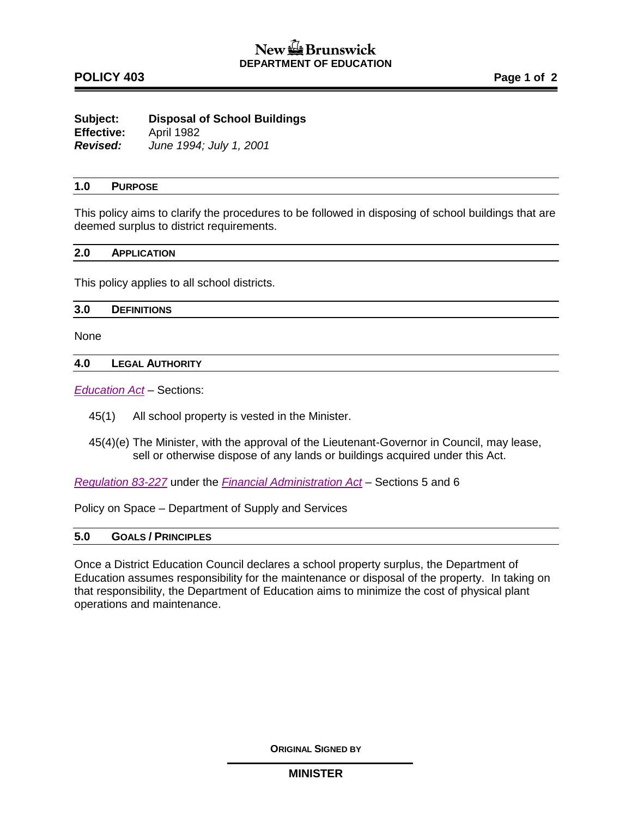# $\frac{1}{2}$  Brunswick **DEPARTMENT OF EDUCATION**

# **POLICY 403 Page 1 of 2**

# **Subject: Disposal of School Buildings Effective:** April 1982 *Revised: June 1994; July 1, 2001*

## **1.0 PURPOSE**

This policy aims to clarify the procedures to be followed in disposing of school buildings that are deemed surplus to district requirements.

## **2.0 APPLICATION**

This policy applies to all school districts.

#### **3.0 DEFINITIONS**

None

### **4.0 LEGAL AUTHORITY**

*[Education Act](http://laws.gnb.ca/en/ShowPdf/cs/E-1.12.pdf)* – Sections:

- 45(1) All school property is vested in the Minister.
- 45(4)(e) The Minister, with the approval of the Lieutenant-Governor in Council, may lease, sell or otherwise dispose of any lands or buildings acquired under this Act.

*[Regulation 83-227](http://laws.gnb.ca/en/ShowPdf/cr/83-227.pdf)* under the *[Financial Administration Act](http://laws.gnb.ca/en/ShowPdf/cs/2011-c.160.pdf) –* Sections 5 and 6

Policy on Space – Department of Supply and Services

### **5.0 GOALS / PRINCIPLES**

Once a District Education Council declares a school property surplus, the Department of Education assumes responsibility for the maintenance or disposal of the property. In taking on that responsibility, the Department of Education aims to minimize the cost of physical plant operations and maintenance.

**ORIGINAL SIGNED BY**

**MINISTER**